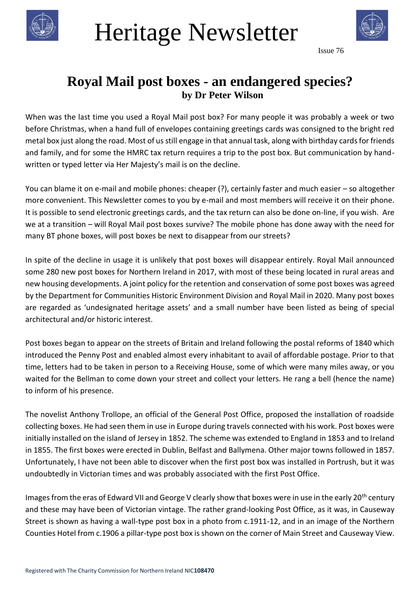

## Heritage Newsletter



Issue 76

## **Royal Mail post boxes - an endangered species? by Dr Peter Wilson**

When was the last time you used a Royal Mail post box? For many people it was probably a week or two before Christmas, when a hand full of envelopes containing greetings cards was consigned to the bright red metal box just along the road. Most of us still engage in that annual task, along with birthday cards for friends and family, and for some the HMRC tax return requires a trip to the post box. But communication by handwritten or typed letter via Her Majesty's mail is on the decline.

You can blame it on e-mail and mobile phones: cheaper (?), certainly faster and much easier – so altogether more convenient. This Newsletter comes to you by e-mail and most members will receive it on their phone. It is possible to send electronic greetings cards, and the tax return can also be done on-line, if you wish. Are we at a transition – will Royal Mail post boxes survive? The mobile phone has done away with the need for many BT phone boxes, will post boxes be next to disappear from our streets?

In spite of the decline in usage it is unlikely that post boxes will disappear entirely. Royal Mail announced some 280 new post boxes for Northern Ireland in 2017, with most of these being located in rural areas and new housing developments. A joint policy for the retention and conservation of some post boxes was agreed by the Department for Communities Historic Environment Division and Royal Mail in 2020. Many post boxes are regarded as 'undesignated heritage assets' and a small number have been listed as being of special architectural and/or historic interest.

Post boxes began to appear on the streets of Britain and Ireland following the postal reforms of 1840 which introduced the Penny Post and enabled almost every inhabitant to avail of affordable postage. Prior to that time, letters had to be taken in person to a Receiving House, some of which were many miles away, or you waited for the Bellman to come down your street and collect your letters. He rang a bell (hence the name) to inform of his presence.

The novelist Anthony Trollope, an official of the General Post Office, proposed the installation of roadside collecting boxes. He had seen them in use in Europe during travels connected with his work. Post boxes were initially installed on the island of Jersey in 1852. The scheme was extended to England in 1853 and to Ireland in 1855. The first boxes were erected in Dublin, Belfast and Ballymena. Other major towns followed in 1857. Unfortunately, I have not been able to discover when the first post box was installed in Portrush, but it was undoubtedly in Victorian times and was probably associated with the first Post Office.

Images from the eras of Edward VII and George V clearly show that boxes were in use in the early 20<sup>th</sup> century and these may have been of Victorian vintage. The rather grand-looking Post Office, as it was, in Causeway Street is shown as having a wall-type post box in a photo from c.1911-12, and in an image of the Northern Counties Hotel from c.1906 a pillar-type post box is shown on the corner of Main Street and Causeway View.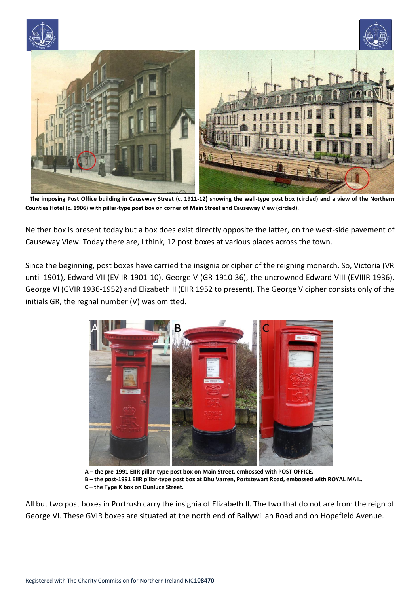





 **The imposing Post Office building in Causeway Street (c. 1911-12) showing the wall-type post box (circled) and a view of the Northern Counties Hotel (c. 1906) with pillar-type post box on corner of Main Street and Causeway View (circled).**

Neither box is present today but a box does exist directly opposite the latter, on the west-side pavement of Causeway View. Today there are, I think, 12 post boxes at various places across the town.

Since the beginning, post boxes have carried the insignia or cipher of the reigning monarch. So, Victoria (VR until 1901), Edward VII (EVIIR 1901-10), George V (GR 1910-36), the uncrowned Edward VIII (EVIIIR 1936), George VI (GVIR 1936-1952) and Elizabeth II (EIIR 1952 to present). The George V cipher consists only of the initials GR, the regnal number (V) was omitted.



 **A – the pre-1991 EIIR pillar-type post box on Main Street, embossed with POST OFFICE. B – the post-1991 EIIR pillar-type post box at Dhu Varren, Portstewart Road, embossed with ROYAL MAIL. C – the Type K box on Dunluce Street.**

All but two post boxes in Portrush carry the insignia of Elizabeth II. The two that do not are from the reign of George VI. These GVIR boxes are situated at the north end of Ballywillan Road and on Hopefield Avenue.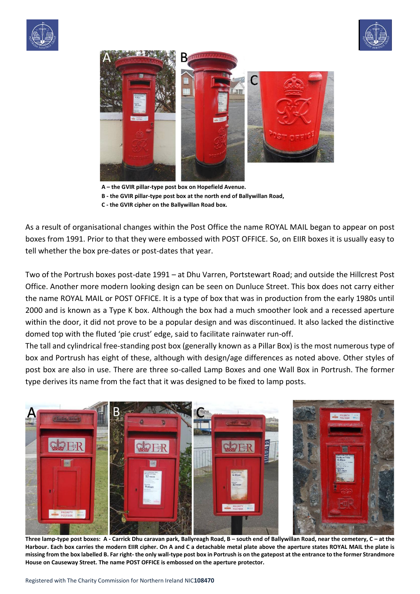





**A – the GVIR pillar-type post box on Hopefield Avenue. B - the GVIR pillar-type post box at the north end of Ballywillan Road, C - the GVIR cipher on the Ballywillan Road box.**

As a result of organisational changes within the Post Office the name ROYAL MAIL began to appear on post boxes from 1991. Prior to that they were embossed with POST OFFICE. So, on EIIR boxes it is usually easy to tell whether the box pre-dates or post-dates that year.

Two of the Portrush boxes post-date 1991 – at Dhu Varren, Portstewart Road; and outside the Hillcrest Post Office. Another more modern looking design can be seen on Dunluce Street. This box does not carry either the name ROYAL MAIL or POST OFFICE. It is a type of box that was in production from the early 1980s until 2000 and is known as a Type K box. Although the box had a much smoother look and a recessed aperture within the door, it did not prove to be a popular design and was discontinued. It also lacked the distinctive domed top with the fluted 'pie crust' edge, said to facilitate rainwater run-off.

The tall and cylindrical free-standing post box (generally known as a Pillar Box) is the most numerous type of box and Portrush has eight of these, although with design/age differences as noted above. Other styles of post box are also in use. There are three so-called Lamp Boxes and one Wall Box in Portrush. The former type derives its name from the fact that it was designed to be fixed to lamp posts.



 **Three lamp-type post boxes: A - Carrick Dhu caravan park, Ballyreagh Road, B – south end of Ballywillan Road, near the cemetery, C – at the Harbour. Each box carries the modern EIIR cipher. On A and C a detachable metal plate above the aperture states ROYAL MAIL the plate is missing from the box labelled B. Far right- the only wall-type post box in Portrush is on the gatepost at the entrance to the former Strandmore House on Causeway Street. The name POST OFFICE is embossed on the aperture protector.**